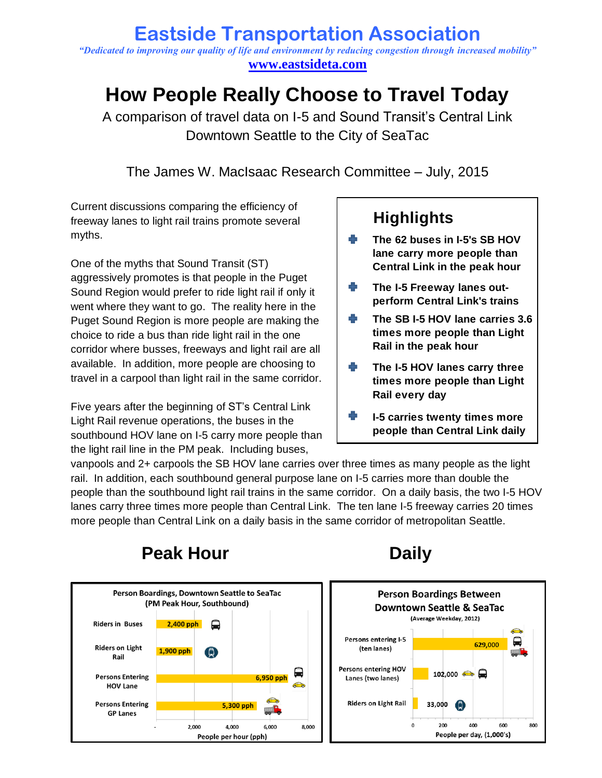### **Eastside Transportation Association** *"Dedicated to improving our quality of life and environment by reducing congestion through increased mobility"* **[www.eastsideta.com](http://www.eastsideta.com/)**

# **How People Really Choose to Travel Today**

A comparison of travel data on I-5 and Sound Transit's Central Link Downtown Seattle to the City of SeaTac

The James W. MacIsaac Research Committee – July, 2015

Current discussions comparing the efficiency of freeway lanes to light rail trains promote several myths.

One of the myths that Sound Transit (ST) aggressively promotes is that people in the Puget Sound Region would prefer to ride light rail if only it went where they want to go. The reality here in the Puget Sound Region is more people are making the choice to ride a bus than ride light rail in the one corridor where busses, freeways and light rail are all available. In addition, more people are choosing to travel in a carpool than light rail in the same corridor.

Five years after the beginning of ST's Central Link Light Rail revenue operations, the buses in the southbound HOV lane on I-5 carry more people than the light rail line in the PM peak. Including buses,

## **Highlights**

- **The 62 buses in I-5's SB HOV lane carry more people than Central Link in the peak hour**
- **The I-5 Freeway lanes outperform Central Link's trains**
- **The SB I-5 HOV lane carries 3.6 times more people than Light Rail in the peak hour**
- 41 **The I-5 HOV lanes carry three times more people than Light Rail every day**
- **I-5 carries twenty times more people than Central Link daily**

vanpools and 2+ carpools the SB HOV lane carries over three times as many people as the light rail. In addition, each southbound general purpose lane on I-5 carries more than double the people than the southbound light rail trains in the same corridor. On a daily basis, the two I-5 HOV lanes carry three times more people than Central Link. The ten lane I-5 freeway carries 20 times more people than Central Link on a daily basis in the same corridor of metropolitan Seattle.



## **Peak Hour Daily**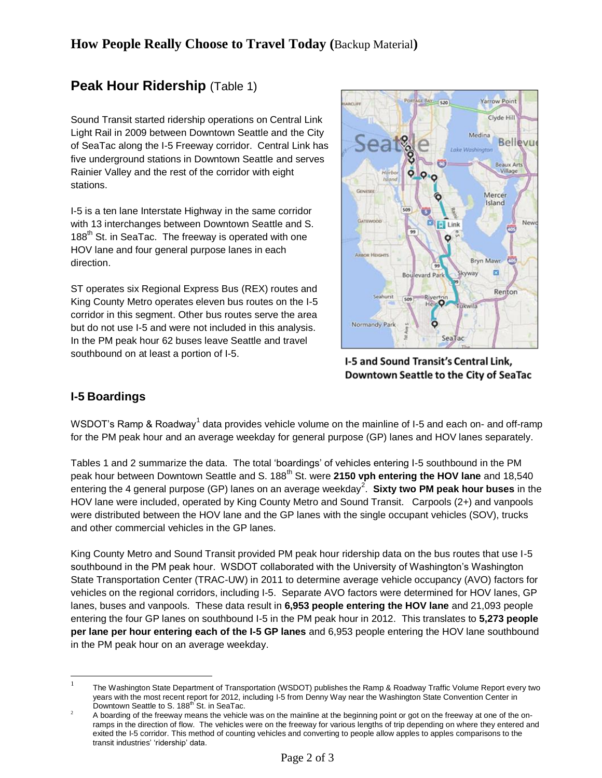## **Peak Hour Ridership** (Table 1)

Sound Transit started ridership operations on Central Link Light Rail in 2009 between Downtown Seattle and the City of SeaTac along the I-5 Freeway corridor. Central Link has five underground stations in Downtown Seattle and serves Rainier Valley and the rest of the corridor with eight stations.

I-5 is a ten lane Interstate Highway in the same corridor with 13 interchanges between Downtown Seattle and S. 188<sup>th</sup> St. in SeaTac. The freeway is operated with one HOV lane and four general purpose lanes in each direction.

ST operates six Regional Express Bus (REX) routes and King County Metro operates eleven bus routes on the I-5 corridor in this segment. Other bus routes serve the area but do not use I-5 and were not included in this analysis. In the PM peak hour 62 buses leave Seattle and travel southbound on at least a portion of I-5.



I-5 and Sound Transit's Central Link, Downtown Seattle to the City of SeaTac

#### **I-5 Boardings**

 $\overline{a}$ 

WSDOT's Ramp & Roadway<sup>1</sup> data provides vehicle volume on the mainline of I-5 and each on- and off-ramp for the PM peak hour and an average weekday for general purpose (GP) lanes and HOV lanes separately.

Tables 1 and 2 summarize the data. The total 'boardings' of vehicles entering I-5 southbound in the PM peak hour between Downtown Seattle and S. 188<sup>th</sup> St. were 2150 vph entering the HOV lane and 18,540 entering the 4 general purpose (GP) lanes on an average weekday<sup>2</sup>. Sixty two PM peak hour buses in the HOV lane were included, operated by King County Metro and Sound Transit. Carpools (2+) and vanpools were distributed between the HOV lane and the GP lanes with the single occupant vehicles (SOV), trucks and other commercial vehicles in the GP lanes.

King County Metro and Sound Transit provided PM peak hour ridership data on the bus routes that use I-5 southbound in the PM peak hour. WSDOT collaborated with the University of Washington's Washington State Transportation Center (TRAC-UW) in 2011 to determine average vehicle occupancy (AVO) factors for vehicles on the regional corridors, including I-5. Separate AVO factors were determined for HOV lanes, GP lanes, buses and vanpools. These data result in **6,953 people entering the HOV lane** and 21,093 people entering the four GP lanes on southbound I-5 in the PM peak hour in 2012. This translates to **5,273 people per lane per hour entering each of the I-5 GP lanes** and 6,953 people entering the HOV lane southbound in the PM peak hour on an average weekday.

<sup>1</sup> The Washington State Department of Transportation (WSDOT) publishes the Ramp & Roadway Traffic Volume Report every two years with the most recent report for 2012, including I-5 from Denny Way near the Washington State Convention Center in Downtown Seattle to S. 188<sup>th</sup> St. in SeaTac.

<sup>&</sup>lt;sup>2</sup> A boarding of the freeway means the vehicle was on the mainline at the beginning point or got on the freeway at one of the onramps in the direction of flow. The vehicles were on the freeway for various lengths of trip depending on where they entered and exited the I-5 corridor. This method of counting vehicles and converting to people allow apples to apples comparisons to the transit industries' 'ridership' data.